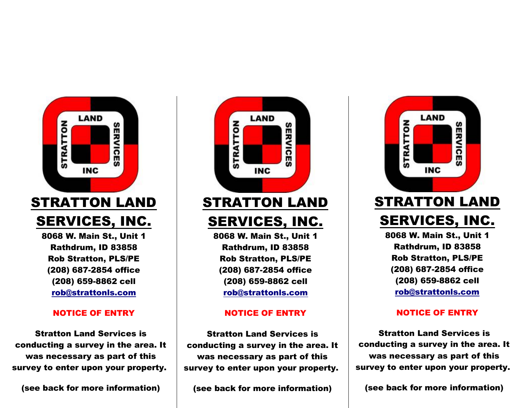

8068 W. Main St., Unit 1 Rathdrum, ID 83858 Rob Stratton, PLS/PE (208) 687-2854 office (208) 659-8862 cell rob@strattonls.com

### NOTICE OF ENTRY

Stratton Land Services is conducting a survey in the area. It was necessary as part of this survey to enter upon your property.

(see back for more information)



## STRATTON LAND SERVICES, INC.

8068 W. Main St., Unit 1 Rathdrum, ID 83858 Rob Stratton, PLS/PE (208) 687-2854 office (208) 659-8862 cell rob@strattonls.com

## NOTICE OF ENTRY

Stratton Land Services is conducting a survey in the area. It was necessary as part of this survey to enter upon your property.

(see back for more information)



# SERVICES, INC.

8068 W. Main St., Unit 1 Rathdrum, ID 83858 Rob Stratton, PLS/PE (208) 687-2854 office (208) 659-8862 cell rob@strattonls.com

## NOTICE OF ENTRY

Stratton Land Services is conducting a survey in the area. It was necessary as part of this survey to enter upon your property.

(see back for more information)